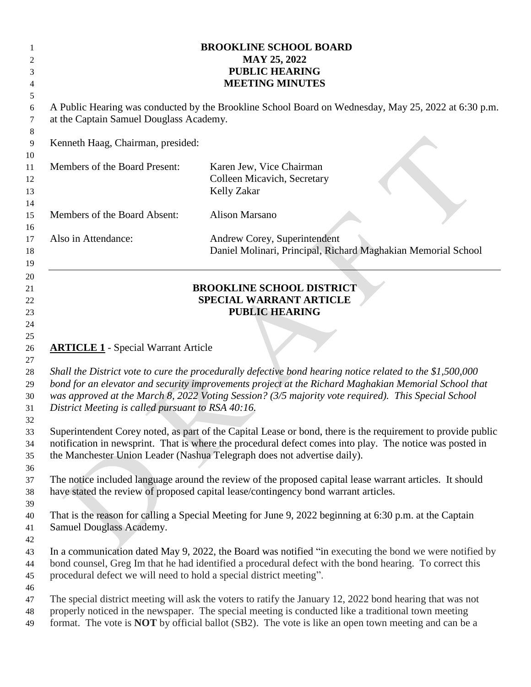| 2<br>3<br>4                            | <b>BROOKLINE SCHOOL BOARD</b><br><b>MAY 25, 2022</b><br><b>PUBLIC HEARING</b><br><b>MEETING MINUTES</b>                                                                                                                                                                                                                                                                                                                     |                                                                                               |  |
|----------------------------------------|-----------------------------------------------------------------------------------------------------------------------------------------------------------------------------------------------------------------------------------------------------------------------------------------------------------------------------------------------------------------------------------------------------------------------------|-----------------------------------------------------------------------------------------------|--|
| 5<br>6<br>7<br>8                       | A Public Hearing was conducted by the Brookline School Board on Wednesday, May 25, 2022 at 6:30 p.m.<br>at the Captain Samuel Douglass Academy.                                                                                                                                                                                                                                                                             |                                                                                               |  |
| 9                                      | Kenneth Haag, Chairman, presided:                                                                                                                                                                                                                                                                                                                                                                                           |                                                                                               |  |
| 10<br>11<br>12<br>13<br>14             | Members of the Board Present:                                                                                                                                                                                                                                                                                                                                                                                               | Karen Jew, Vice Chairman<br>Colleen Micavich, Secretary<br><b>Kelly Zakar</b>                 |  |
| 15                                     | Members of the Board Absent:                                                                                                                                                                                                                                                                                                                                                                                                | <b>Alison Marsano</b>                                                                         |  |
| 16<br>17<br>18<br>19                   | Also in Attendance:                                                                                                                                                                                                                                                                                                                                                                                                         | Andrew Corey, Superintendent<br>Daniel Molinari, Principal, Richard Maghakian Memorial School |  |
| 21<br>22<br>23<br>24<br>25             | <b>BROOKLINE SCHOOL DISTRICT</b><br><b>SPECIAL WARRANT ARTICLE</b><br><b>PUBLIC HEARING</b>                                                                                                                                                                                                                                                                                                                                 |                                                                                               |  |
| 26<br>27<br>28<br>29<br>30<br>31<br>32 | <b>ARTICLE 1</b> - Special Warrant Article<br>Shall the District vote to cure the procedurally defective bond hearing notice related to the \$1,500,000<br>bond for an elevator and security improvements project at the Richard Maghakian Memorial School that<br>was approved at the March 8, 2022 Voting Session? (3/5 majority vote required). This Special School<br>District Meeting is called pursuant to RSA 40:16. |                                                                                               |  |
| 33<br>34<br>35                         | Superintendent Corey noted, as part of the Capital Lease or bond, there is the requirement to provide public<br>notification in newsprint. That is where the procedural defect comes into play. The notice was posted in<br>the Manchester Union Leader (Nashua Telegraph does not advertise daily).                                                                                                                        |                                                                                               |  |
| 36<br>37<br>38<br>39                   | The notice included language around the review of the proposed capital lease warrant articles. It should<br>have stated the review of proposed capital lease/contingency bond warrant articles.                                                                                                                                                                                                                             |                                                                                               |  |
| 40<br>41<br>42                         | That is the reason for calling a Special Meeting for June 9, 2022 beginning at 6:30 p.m. at the Captain<br>Samuel Douglass Academy.                                                                                                                                                                                                                                                                                         |                                                                                               |  |
| 43<br>44<br>45<br>46                   | In a communication dated May 9, 2022, the Board was notified "in executing the bond we were notified by<br>bond counsel, Greg Im that he had identified a procedural defect with the bond hearing. To correct this<br>procedural defect we will need to hold a special district meeting".                                                                                                                                   |                                                                                               |  |
| 47<br>48<br>49                         | The special district meeting will ask the voters to ratify the January 12, 2022 bond hearing that was not<br>properly noticed in the newspaper. The special meeting is conducted like a traditional town meeting<br>format. The vote is NOT by official ballot (SB2). The vote is like an open town meeting and can be a                                                                                                    |                                                                                               |  |